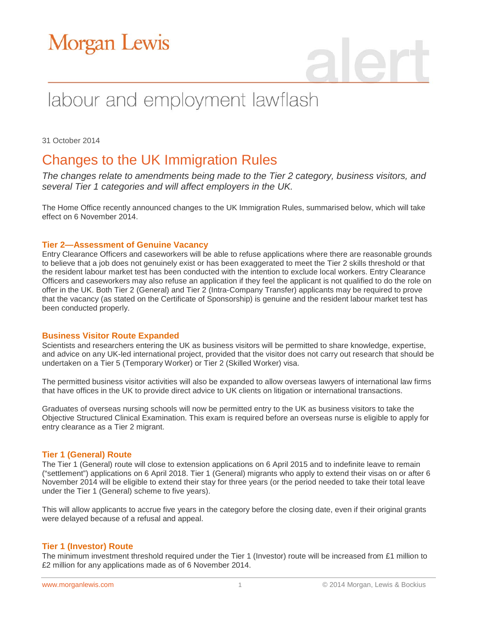# **Morgan Lewis**

# labour and employment lawflash

31 October 2014

### Changes to the UK Immigration Rules

*The changes relate to amendments being made to the Tier 2 category, business visitors, and several Tier 1 categories and will affect employers in the UK.*

The Home Office recently announced changes to the UK Immigration Rules, summarised below, which will take effect on 6 November 2014.

#### **Tier 2—Assessment of Genuine Vacancy**

Entry Clearance Officers and caseworkers will be able to refuse applications where there are reasonable grounds to believe that a job does not genuinely exist or has been exaggerated to meet the Tier 2 skills threshold or that the resident labour market test has been conducted with the intention to exclude local workers. Entry Clearance Officers and caseworkers may also refuse an application if they feel the applicant is not qualified to do the role on offer in the UK. Both Tier 2 (General) and Tier 2 (Intra-Company Transfer) applicants may be required to prove that the vacancy (as stated on the Certificate of Sponsorship) is genuine and the resident labour market test has been conducted properly.

#### **Business Visitor Route Expanded**

Scientists and researchers entering the UK as business visitors will be permitted to share knowledge, expertise, and advice on any UK-led international project, provided that the visitor does not carry out research that should be undertaken on a Tier 5 (Temporary Worker) or Tier 2 (Skilled Worker) visa.

The permitted business visitor activities will also be expanded to allow overseas lawyers of international law firms that have offices in the UK to provide direct advice to UK clients on litigation or international transactions.

Graduates of overseas nursing schools will now be permitted entry to the UK as business visitors to take the Objective Structured Clinical Examination. This exam is required before an overseas nurse is eligible to apply for entry clearance as a Tier 2 migrant.

#### **Tier 1 (General) Route**

The Tier 1 (General) route will close to extension applications on 6 April 2015 and to indefinite leave to remain ("settlement") applications on 6 April 2018. Tier 1 (General) migrants who apply to extend their visas on or after 6 November 2014 will be eligible to extend their stay for three years (or the period needed to take their total leave under the Tier 1 (General) scheme to five years).

This will allow applicants to accrue five years in the category before the closing date, even if their original grants were delayed because of a refusal and appeal.

#### **Tier 1 (Investor) Route**

The minimum investment threshold required under the Tier 1 (Investor) route will be increased from £1 million to £2 million for any applications made as of 6 November 2014.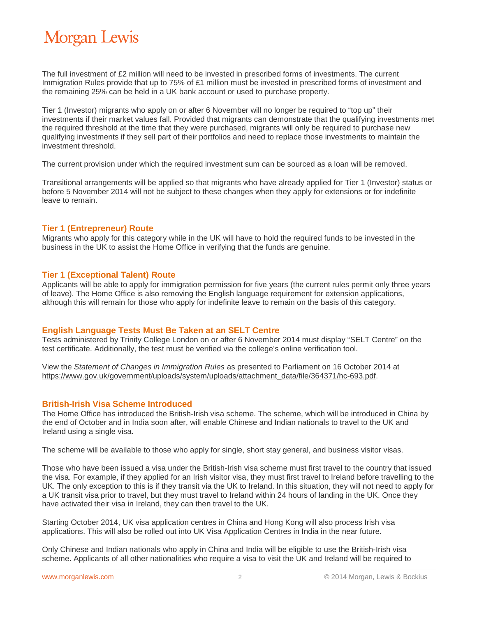# **Morgan Lewis**

The full investment of £2 million will need to be invested in prescribed forms of investments. The current Immigration Rules provide that up to 75% of £1 million must be invested in prescribed forms of investment and the remaining 25% can be held in a UK bank account or used to purchase property.

Tier 1 (Investor) migrants who apply on or after 6 November will no longer be required to "top up" their investments if their market values fall. Provided that migrants can demonstrate that the qualifying investments met the required threshold at the time that they were purchased, migrants will only be required to purchase new qualifying investments if they sell part of their portfolios and need to replace those investments to maintain the investment threshold.

The current provision under which the required investment sum can be sourced as a loan will be removed.

Transitional arrangements will be applied so that migrants who have already applied for Tier 1 (Investor) status or before 5 November 2014 will not be subject to these changes when they apply for extensions or for indefinite leave to remain.

#### **Tier 1 (Entrepreneur) Route**

Migrants who apply for this category while in the UK will have to hold the required funds to be invested in the business in the UK to assist the Home Office in verifying that the funds are genuine.

#### **Tier 1 (Exceptional Talent) Route**

Applicants will be able to apply for immigration permission for five years (the current rules permit only three years of leave). The Home Office is also removing the English language requirement for extension applications, although this will remain for those who apply for indefinite leave to remain on the basis of this category.

#### **English Language Tests Must Be Taken at an SELT Centre**

Tests administered by Trinity College London on or after 6 November 2014 must display "SELT Centre" on the test certificate. Additionally, the test must be verified via the college's online verification tool.

View the *Statement of Changes in Immigration Rules* as presented to Parliament on 16 October 2014 at [https://www.gov.uk/government/uploads/system/uploads/attachment\\_data/file/364371/hc-693.pdf.](https://www.gov.uk/government/uploads/system/uploads/attachment_data/file/364371/hc-693.pdf)

#### **British-Irish Visa Scheme Introduced**

The Home Office has introduced the British-Irish visa scheme. The scheme, which will be introduced in China by the end of October and in India soon after, will enable Chinese and Indian nationals to travel to the UK and Ireland using a single visa.

The scheme will be available to those who apply for single, short stay general, and business visitor visas.

Those who have been issued a visa under the British-Irish visa scheme must first travel to the country that issued the visa. For example, if they applied for an Irish visitor visa, they must first travel to Ireland before travelling to the UK. The only exception to this is if they transit via the UK to Ireland. In this situation, they will not need to apply for a UK transit visa prior to travel, but they must travel to Ireland within 24 hours of landing in the UK. Once they have activated their visa in Ireland, they can then travel to the UK.

Starting October 2014, UK visa application centres in China and Hong Kong will also process Irish visa applications. This will also be rolled out into UK Visa Application Centres in India in the near future.

Only Chinese and Indian nationals who apply in China and India will be eligible to use the British-Irish visa scheme. Applicants of all other nationalities who require a visa to visit the UK and Ireland will be required to